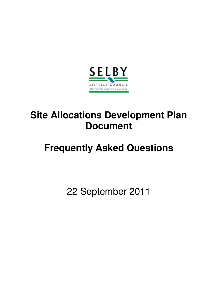

# **Site Allocations Development Plan Document**

# **Frequently Asked Questions**

22 September 2011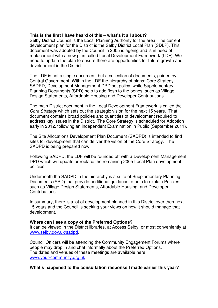# **This is the first I have heard of this – what's it all about?**

Selby District Council is the Local Planning Authority for the area. The current development plan for the District is the Selby District Local Plan (SDLP). This document was adopted by the Council in 2005 is ageing and is in need of replacement with a new plan called Local Development Framework (LDF). We need to update the plan to ensure there are opportunities for future growth and development in the District.

The LDF is not a single document, but a collection of documents, guided by Central Government. Within the LDF the hierarchy of plans: Core Strategy, SADPD, Development Management DPD set policy, while Supplementary Planning Documents (SPD) help to add flesh to the bones, such as Village Design Statements, Affordable Housing and Developer Contributions.

The main District document in the Local Development Framework is called the *Core Strategy* which sets out the strategic vision for the next 15 years. That document contains broad policies and quantities of development required to address key issues in the District. The Core Strategy is scheduled for Adoption early in 2012, following an independent Examination in Public (September 2011).

The Site Allocations Development Plan Document (SADPD) is intended to find sites for development that can deliver the vision of the Core Strategy. The SADPD is being prepared now.

Following SADPD, the LDF will be rounded off with a Development Management DPD which will update or replace the remaining 2005 Local Plan development policies.

Underneath the SADPD in the hierarchy is a suite of Supplementary Planning Documents (SPD) that provide additional guidance to help to explain Policies, such as Village Design Statements, Affordable Housing, and Developer Contributions.

In summary, there is a lot of development planned in this District over then next 15 years and the Council is seeking your views on how it should manage that development.

#### **Where can I see a copy of the Preferred Options?**

It can be viewed in the District libraries, at Access Selby, or most conveniently at www.selby.gov.uk/sadpd.

Council Officers will be attending the Community Engagement Forums where people may drop in and chat informally about the Preferred Options. The dates and venues of these meetings are available here: www.your-community.org.uk

# **What's happened to the consultation response I made earlier this year?**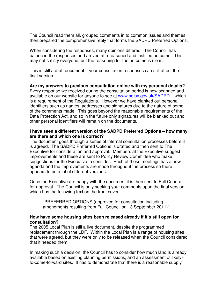The Council read them all, grouped comments in to common issues and themes, then prepared the comprehensive reply that forms the SADPD Preferred Options.

When considering the responses, many opinions differed. The Council has balanced the responses and arrived at a reasoned and justified outcome. This may not satisfy everyone, but the reasoning for the outcome is clear.

This is still a draft document – your consultation responses can still affect the final version.

**Are my answers to previous consultation online with my personal details?** Every response we received during the consultation period is now scanned and available on our website for anyone to see at www.selby.gov.uk/SADPD – which is a requirement of the Regulations. However we have blanked out personal identifiers such as names, addresses and signatures due to the nature of some of the comments made. This goes beyond the reasonable requirements of the Data Protection Act, and so in the future only signatures will be blanked out and other personal identifiers will remain on the documents.

# **I have seen a different version of the SADPD Preferred Options – how many are there and which one is correct?**

The document goes through a series of internal consultation processes before it is agreed. The SADPD Preferred Options is drafted and then sent to The Executive for consideration and approval. Members at the Executive suggest improvements and these are sent to Policy Review Committee who make suggestions for the Executive to consider. Each of these meetings has a new agenda and the improvements are made throughout the process so there appears to be a lot of different versions.

Once the Executive are happy with the document it is then sent to Full Council for approval. The Council is only seeking your comments upon the final version which has the following text on the front cover:

"PREFERRED OPTIONS (approved for consultation including amendments resulting from Full Council on 13 September 2011)".

# **How have some housing sites been released already if it's still open for consultation?**

The 2005 Local Plan is still a live document, despite the programmed replacement through the LDF. Within the Local Plan is a range of housing sites that were agreed, but they were only to be released when the Council considered that it needed them.

In making such a decision, the Council has to consider how much land is already available based on existing planning permissions, and an assessment of likelyto-come-forward sites. It has to demonstrate that there is a reasonable supply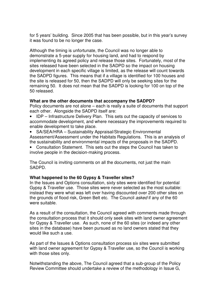for 5 years' building. Since 2005 that has been possible, but in this year's survey it was found to be no longer the case.

Although the timing is unfortunate, the Council was no longer able to demonstrate a 5-year supply for housing land, and had to respond by implementing its agreed policy and release those sites. Fortunately, most of the sites released have been selected in the SADPD so the impact on housing development in each specific village is limited, as the release will count towards the SADPD figures. This means that if a village is identified for 100 houses and the site is released for 50, then the SADPD will only be seeking sites for the remaining 50. It does not mean that the SADPD is looking for 100 on top of the 50 released.

# **What are the other documents that accompany the SADPD?**

Policy documents are not alone – each is really a suite of documents that support each other. Alongside the SADPD itself are:

- IDP Infrastructure Delivery Plan. This sets out the capacity of services to accommodate development, and where necessary the improvements required to enable development to take place.
- SA/SEA/HRA Sustainability Appraisal/Strategic Environmental Assessment/Assessment under the Habitats Regulations. This is an analysis of the sustainability and environmental impacts of the proposals in the SADPD.
- Consultation Statement. This sets out the steps the Council has taken to involve people in the decision-making process.

The Council is inviting comments on all the documents, not just the main SADPD.

# **What happened to the 60 Gypsy & Traveller sites?**

In the Issues and Options consultation, sixty sites were identified for potential Gypsy & Traveller use. Those sites were never selected as the most suitable: instead they were what was left over having discounted over 200 other sites on the grounds of flood risk, Green Belt etc. The Council *asked* if any of the 60 were suitable.

As a result of the consultation, the Council agreed with comments made through the consultation process that it should only seek sites with land owner agreement for Gypsy & Traveller use. As such, none of the 60 sites (or indeed any other sites in the database) have been pursued as no land owners stated that they would like such a use.

As part of the Issues & Options consultation process six sites were submitted with land owner agreement for Gypsy & Traveller use, so the Council is working with those sites only.

Notwithstanding the above, The Council agreed that a sub-group of the Policy Review Committee should undertake a review of the methodology in Issue G,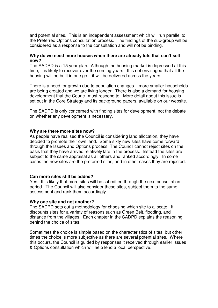and potential sites. This is an independent assessment which will run parallel to the Preferred Options consultation process. The findings of the sub-group will be considered as a response to the consultation and will not be binding.

# **Why do we need more houses when there are already lots that can't sell now?**

The SADPD is a 15 year plan. Although the housing market is depressed at this time, it is likely to recover over the coming years. It is not envisaged that all the housing will be built in one go – it will be delivered across the years.

There is a need for growth due to population changes – more smaller households are being created and we are living longer. There is also a demand for housing development that the Council must respond to. More detail about this issue is set out in the Core Strategy and its background papers, available on our website.

The SADPD is only concerned with finding sites for development, not the debate on whether any development is necessary.

# **Why are there more sites now?**

As people have realised the Council is considering land allocation, they have decided to promote their own land. Some sixty new sites have come forward through the Issues and Options process. The Council cannot reject sites on the basis that they have arrived relatively late in the process. Instead the sites are subject to the same appraisal as all others and ranked accordingly. In some cases the new sites are the preferred sites, and in other cases they are rejected.

#### **Can more sites still be added?**

Yes. It is likely that more sites will be submitted through the next consultation period. The Council will also consider these sites, subject them to the same assessment and rank them accordingly.

#### **Why one site and not another?**

The SADPD sets out a methodology for choosing which site to allocate. It discounts sites for a variety of reasons such as Green Belt, flooding, and distance from the villages. Each chapter in the SADPD explains the reasoning behind the choice of sites.

Sometimes the choice is simple based on the characteristics of sites, but other times the choice is more subjective as there are several potential sites. Where this occurs, the Council is guided by responses it received through earlier Issues & Options consultation which will help lend a local perspective.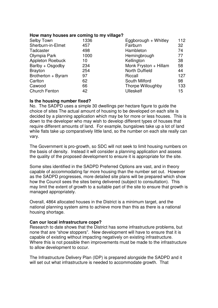#### **How many houses are coming to my village?**

| Selby Town              | 1336 | Eggborough + Whitley  | 112 |
|-------------------------|------|-----------------------|-----|
| Sherburn-in-Elmet       | 457  | Fairburn              | 32  |
| Tadcaster               | 498  | Hambleton             | 74  |
| Olympia Park            | 1000 | Hemingbrough          | 77  |
| <b>Appleton Roebuck</b> | 10   | Kellington            | 38  |
| Barlby + Osgodby        | 234  | Monk Fryston + Hillam | 58  |
| <b>Brayton</b>          | 254  | <b>North Duffield</b> | 44  |
| Brotherton + Byram      | 97   | Riccall               | 127 |
| Carlton                 | 62   | South Milford         | 98  |
| Cawood                  | 66   | Thorpe Willoughby     | 133 |
| <b>Church Fenton</b>    | 42   | <b>Ulleskelf</b>      | 15  |

# **Is the housing number fixed?**

No. The SADPD uses a simple 30 dwellings per hectare figure to guide the choice of sites The actual amount of housing to be developed on each site is decided by a planning application which may be for more or less houses. This is down to the developer who may wish to develop different types of houses that require different amounts of land. For example, bungalows take up a lot of land while flats take up comparatively little land, so the number on each site really can vary.

The Government is pro-growth, so SDC will not seek to limit housing numbers on the basis of density. Instead it will consider a planning application and assess the quality of the proposed development to ensure it is appropriate for the site.

Some sites identified in the SADPD Preferred Options are vast, and in theory capable of accommodating far more housing than the number set out. However as the SADPD progresses, more detailed site plans will be prepared which show how the Council sees the sites being delivered (subject to consultation). This may limit the extent of growth to a suitable part of the site to ensure that growth is managed appropriately.

Overall, 4864 allocated houses in the District is a minimum target, and the national planning system aims to achieve more than this as there is a national housing shortage.

# **Can our local infrastructure cope?**

Research to date shows that the District has some infrastructure problems, but none that are "show stoppers". New development will have to ensure that it is capable of existing without impacting negatively on existing infrastructure. Where this is not possible then improvements must be made to the infrastructure to allow development to occur.

The Infrastructure Delivery Plan (IDP) is prepared alongside the SADPD and it will set out what infrastructure is needed to accommodate growth. That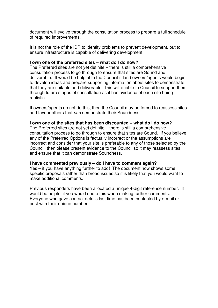document will evolve through the consultation process to prepare a full schedule of required improvements.

It is not the role of the IDP to identify problems to prevent development, but to ensure infrastructure is capable of delivering development.

#### **I own one of the preferred sites – what do I do now?**

The Preferred sites are not yet definite – there is still a comprehensive consultation process to go through to ensure that sites are Sound and deliverable. It would be helpful to the Council if land owners/agents would begin to develop ideas and prepare supporting information about sites to demonstrate that they are suitable and deliverable. This will enable to Council to support them through future stages of consultation as it has evidence of each site being realistic.

If owners/agents do not do this, then the Council may be forced to reassess sites and favour others that *can* demonstrate their Soundness.

# **I own one of the sites that has been discounted – what do I do now?**

The Preferred sites are not yet definite – there is still a comprehensive consultation process to go through to ensure that sites are Sound. If you believe any of the Preferred Options is factually incorrect or the assumptions are incorrect and consider that your site is preferable to any of those selected by the Council, then please present evidence to the Council so it may reassess sites and ensure that it can demonstrate Soundness.

# **I have commented previously – do I have to comment again?**

Yes – if you have anything further to add! The document now shows some specific proposals rather than broad issues so it is likely that you would want to make additional comments.

Previous responders have been allocated a unique 4-digit reference number. It would be helpful if you would quote this when making further comments. Everyone who gave contact details last time has been contacted by e-mail or post with their unique number.